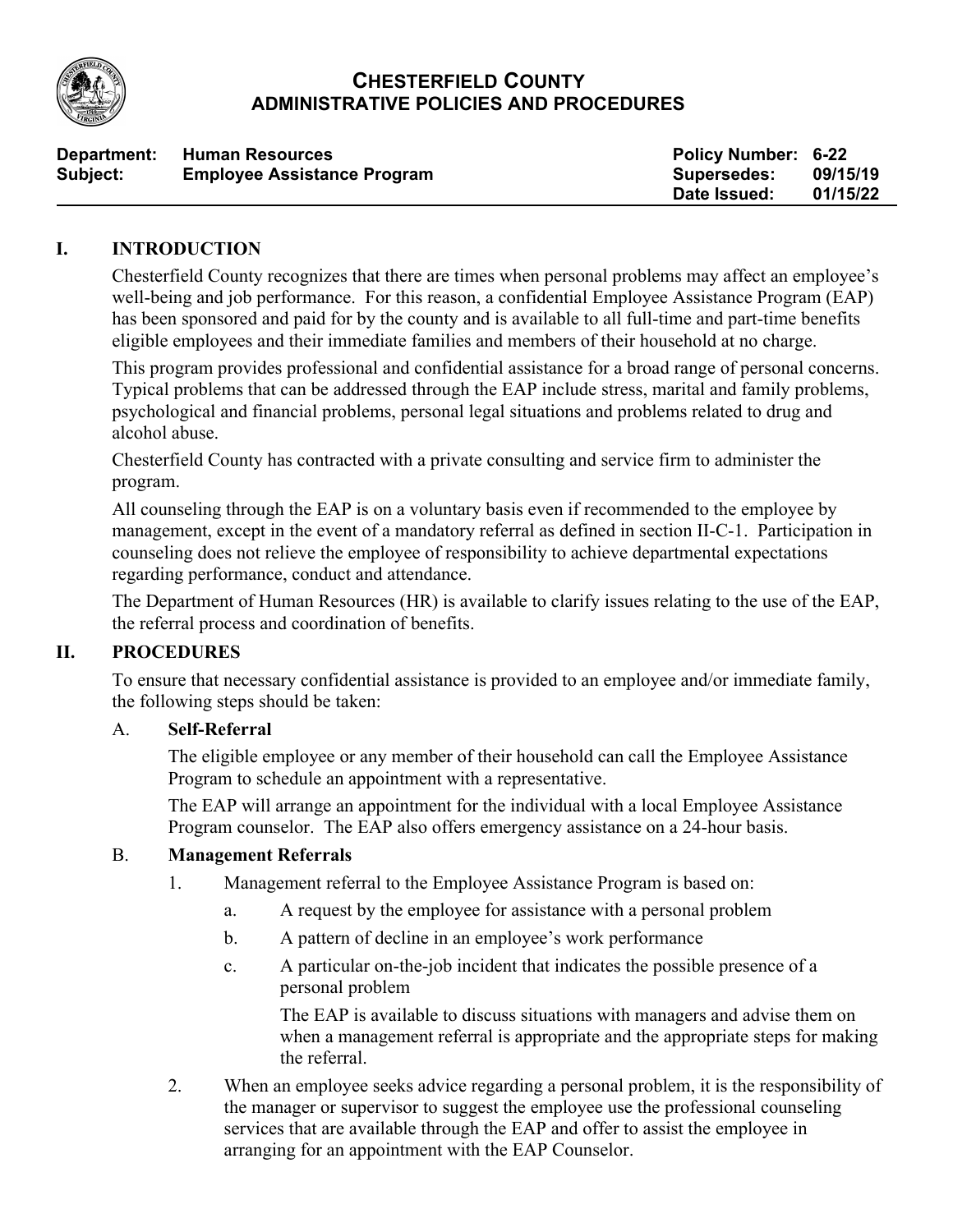

# **CHESTERFIELD COUNTY ADMINISTRATIVE POLICIES AND PROCEDURES**

| Department: | <b>Human Resources</b>             | <b>Policy Number: 6-22</b> |          |
|-------------|------------------------------------|----------------------------|----------|
| Subject:    | <b>Employee Assistance Program</b> | Supersedes:                | 09/15/19 |
|             |                                    | Date Issued:               | 01/15/22 |

### **I. INTRODUCTION**

Chesterfield County recognizes that there are times when personal problems may affect an employee's well-being and job performance. For this reason, a confidential Employee Assistance Program (EAP) has been sponsored and paid for by the county and is available to all full-time and part-time benefits eligible employees and their immediate families and members of their household at no charge.

This program provides professional and confidential assistance for a broad range of personal concerns. Typical problems that can be addressed through the EAP include stress, marital and family problems, psychological and financial problems, personal legal situations and problems related to drug and alcohol abuse.

Chesterfield County has contracted with a private consulting and service firm to administer the program.

All counseling through the EAP is on a voluntary basis even if recommended to the employee by management, except in the event of a mandatory referral as defined in section II-C-1. Participation in counseling does not relieve the employee of responsibility to achieve departmental expectations regarding performance, conduct and attendance.

The Department of Human Resources (HR) is available to clarify issues relating to the use of the EAP, the referral process and coordination of benefits.

#### **II. PROCEDURES**

To ensure that necessary confidential assistance is provided to an employee and/or immediate family, the following steps should be taken:

#### A. **Self-Referral**

The eligible employee or any member of their household can call the Employee Assistance Program to schedule an appointment with a representative.

The EAP will arrange an appointment for the individual with a local Employee Assistance Program counselor. The EAP also offers emergency assistance on a 24-hour basis.

#### B. **Management Referrals**

- 1. Management referral to the Employee Assistance Program is based on:
	- a. A request by the employee for assistance with a personal problem
	- b. A pattern of decline in an employee's work performance
	- c. A particular on-the-job incident that indicates the possible presence of a personal problem

The EAP is available to discuss situations with managers and advise them on when a management referral is appropriate and the appropriate steps for making the referral.

2. When an employee seeks advice regarding a personal problem, it is the responsibility of the manager or supervisor to suggest the employee use the professional counseling services that are available through the EAP and offer to assist the employee in arranging for an appointment with the EAP Counselor.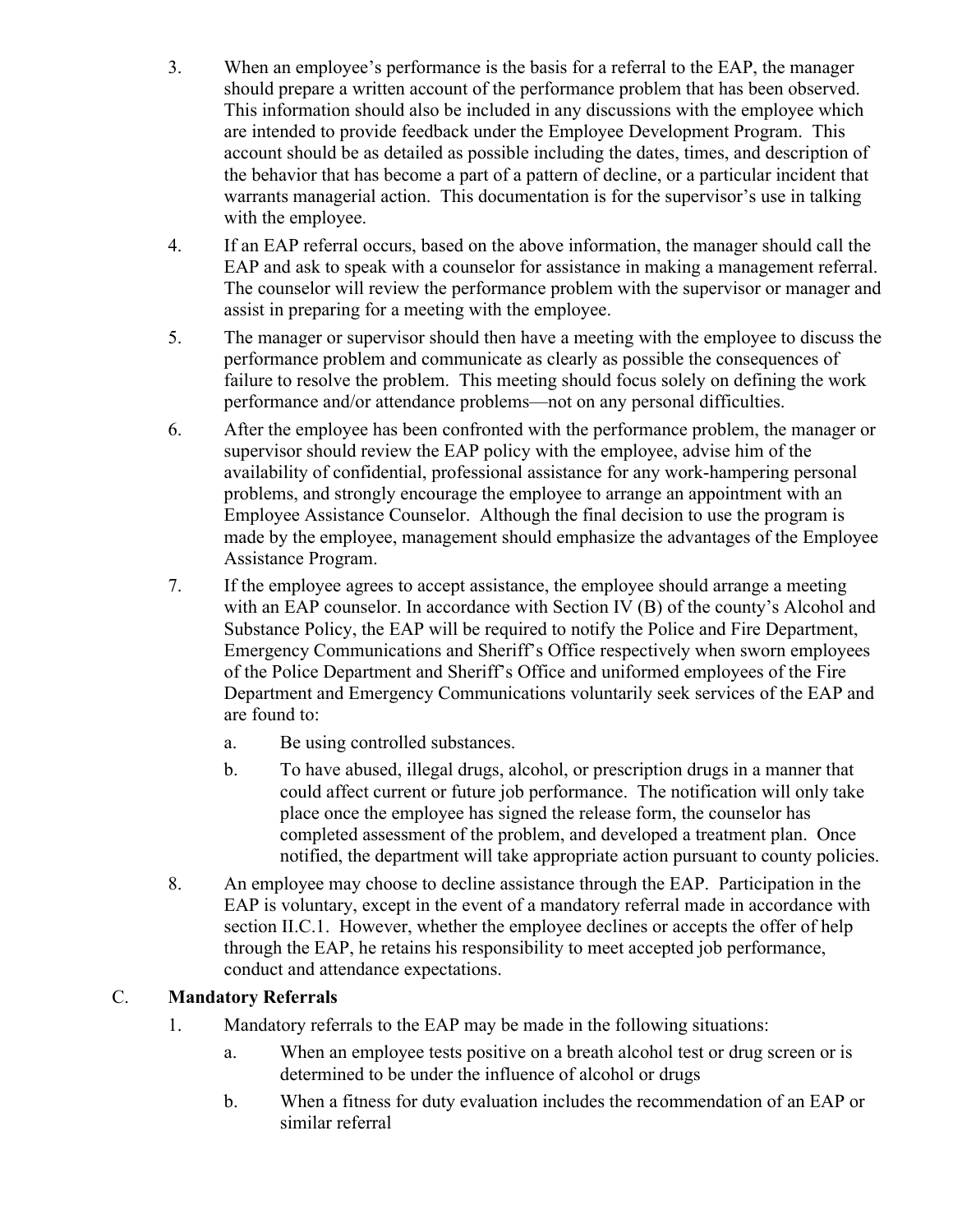- 3. When an employee's performance is the basis for a referral to the EAP, the manager should prepare a written account of the performance problem that has been observed. This information should also be included in any discussions with the employee which are intended to provide feedback under the Employee Development Program. This account should be as detailed as possible including the dates, times, and description of the behavior that has become a part of a pattern of decline, or a particular incident that warrants managerial action. This documentation is for the supervisor's use in talking with the employee.
- 4. If an EAP referral occurs, based on the above information, the manager should call the EAP and ask to speak with a counselor for assistance in making a management referral. The counselor will review the performance problem with the supervisor or manager and assist in preparing for a meeting with the employee.
- 5. The manager or supervisor should then have a meeting with the employee to discuss the performance problem and communicate as clearly as possible the consequences of failure to resolve the problem. This meeting should focus solely on defining the work performance and/or attendance problems—not on any personal difficulties.
- 6. After the employee has been confronted with the performance problem, the manager or supervisor should review the EAP policy with the employee, advise him of the availability of confidential, professional assistance for any work-hampering personal problems, and strongly encourage the employee to arrange an appointment with an Employee Assistance Counselor. Although the final decision to use the program is made by the employee, management should emphasize the advantages of the Employee Assistance Program.
- 7. If the employee agrees to accept assistance, the employee should arrange a meeting with an EAP counselor. In accordance with Section IV (B) of the county's Alcohol and Substance Policy, the EAP will be required to notify the Police and Fire Department, Emergency Communications and Sheriff's Office respectively when sworn employees of the Police Department and Sheriff's Office and uniformed employees of the Fire Department and Emergency Communications voluntarily seek services of the EAP and are found to:
	- a. Be using controlled substances.
	- b. To have abused, illegal drugs, alcohol, or prescription drugs in a manner that could affect current or future job performance. The notification will only take place once the employee has signed the release form, the counselor has completed assessment of the problem, and developed a treatment plan. Once notified, the department will take appropriate action pursuant to county policies.
- 8. An employee may choose to decline assistance through the EAP. Participation in the EAP is voluntary, except in the event of a mandatory referral made in accordance with section II.C.1. However, whether the employee declines or accepts the offer of help through the EAP, he retains his responsibility to meet accepted job performance, conduct and attendance expectations.

# C. **Mandatory Referrals**

- 1. Mandatory referrals to the EAP may be made in the following situations:
	- a. When an employee tests positive on a breath alcohol test or drug screen or is determined to be under the influence of alcohol or drugs
	- b. When a fitness for duty evaluation includes the recommendation of an EAP or similar referral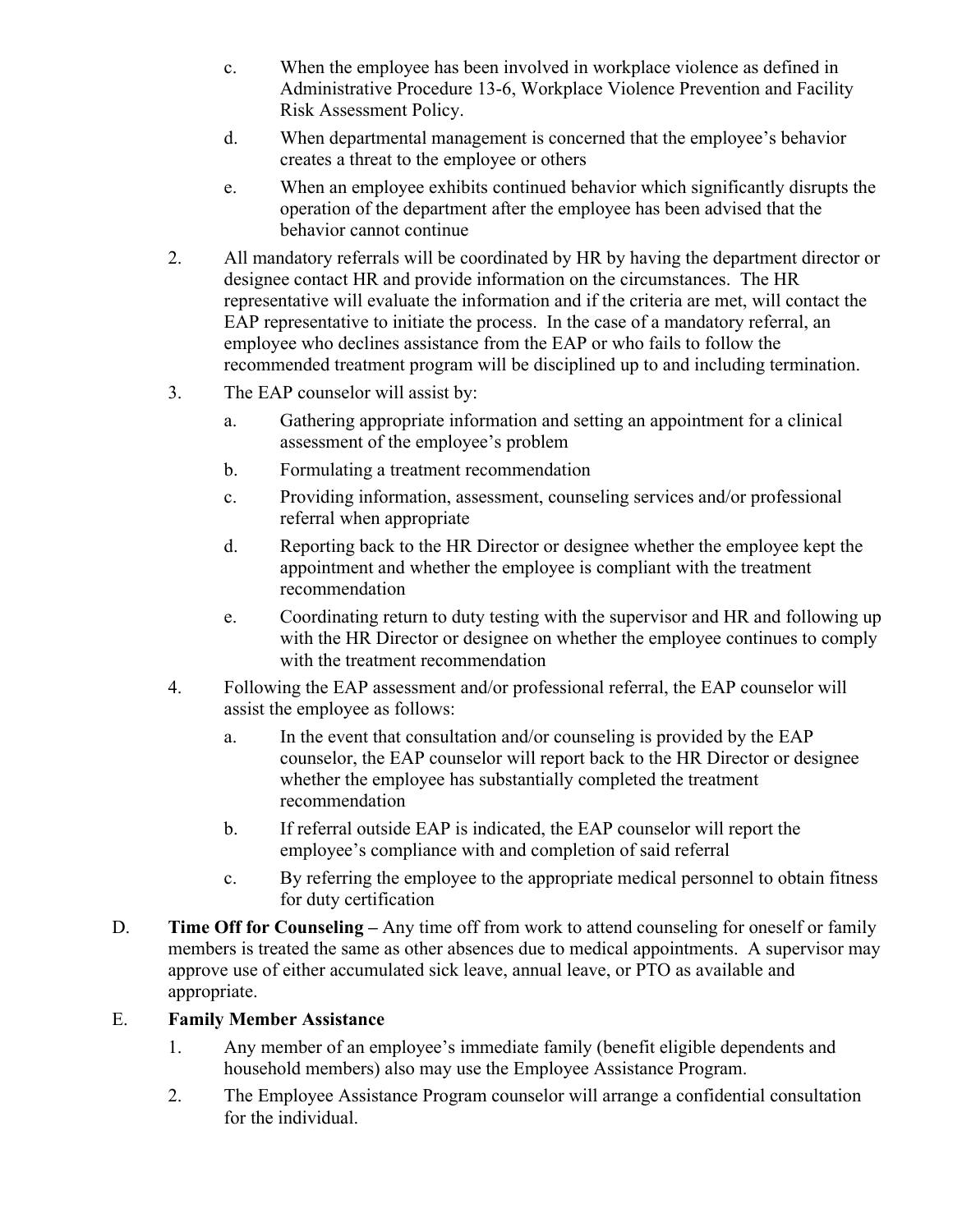- c. When the employee has been involved in workplace violence as defined in Administrative Procedure 13-6, Workplace Violence Prevention and Facility Risk Assessment Policy.
- d. When departmental management is concerned that the employee's behavior creates a threat to the employee or others
- e. When an employee exhibits continued behavior which significantly disrupts the operation of the department after the employee has been advised that the behavior cannot continue
- 2. All mandatory referrals will be coordinated by HR by having the department director or designee contact HR and provide information on the circumstances. The HR representative will evaluate the information and if the criteria are met, will contact the EAP representative to initiate the process. In the case of a mandatory referral, an employee who declines assistance from the EAP or who fails to follow the recommended treatment program will be disciplined up to and including termination.
- 3. The EAP counselor will assist by:
	- a. Gathering appropriate information and setting an appointment for a clinical assessment of the employee's problem
	- b. Formulating a treatment recommendation
	- c. Providing information, assessment, counseling services and/or professional referral when appropriate
	- d. Reporting back to the HR Director or designee whether the employee kept the appointment and whether the employee is compliant with the treatment recommendation
	- e. Coordinating return to duty testing with the supervisor and HR and following up with the HR Director or designee on whether the employee continues to comply with the treatment recommendation
- 4. Following the EAP assessment and/or professional referral, the EAP counselor will assist the employee as follows:
	- a. In the event that consultation and/or counseling is provided by the EAP counselor, the EAP counselor will report back to the HR Director or designee whether the employee has substantially completed the treatment recommendation
	- b. If referral outside EAP is indicated, the EAP counselor will report the employee's compliance with and completion of said referral
	- c. By referring the employee to the appropriate medical personnel to obtain fitness for duty certification
- D. **Time Off for Counseling –** Any time off from work to attend counseling for oneself or family members is treated the same as other absences due to medical appointments. A supervisor may approve use of either accumulated sick leave, annual leave, or PTO as available and appropriate.

# E. **Family Member Assistance**

- 1. Any member of an employee's immediate family (benefit eligible dependents and household members) also may use the Employee Assistance Program.
- 2. The Employee Assistance Program counselor will arrange a confidential consultation for the individual.